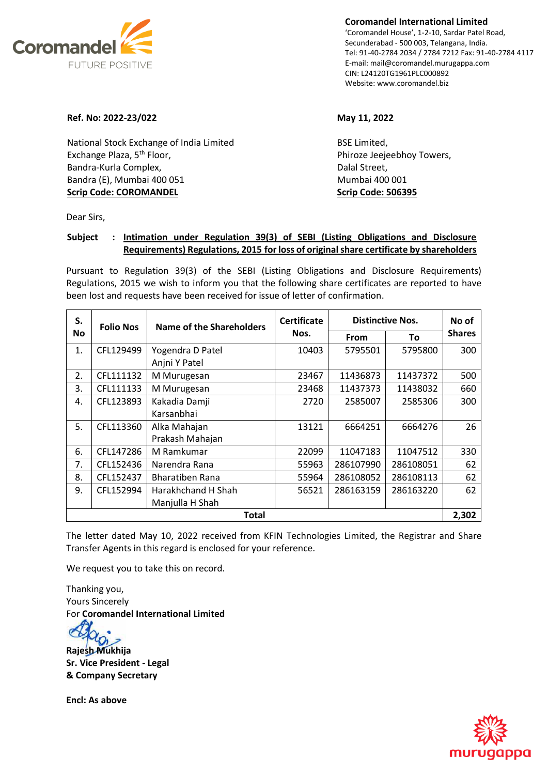

**Coromandel International Limited** 'Coromandel House', 1-2-10, Sardar Patel Road, Secunderabad - 500 003, Telangana, India. Tel: 91-40-2784 2034 / 2784 7212 Fax: 91-40-2784 4117 E-mail: mail@coromandel.murugappa.com CIN: L24120TG1961PLC000892 Website: www.coromandel.biz

## **Ref. No: 2022-23/022 May 11, 2022**

National Stock Exchange of India Limited Exchange Plaza, 5<sup>th</sup> Floor, Bandra-Kurla Complex, Bandra (E), Mumbai 400 051 **Scrip Code: COROMANDEL**

BSE Limited, Phiroze Jeejeebhoy Towers, Dalal Street, Mumbai 400 001 **Scrip Code: 506395**

Dear Sirs,

## **Subject : Intimation under Regulation 39(3) of SEBI (Listing Obligations and Disclosure Requirements) Regulations, 2015 for loss of original share certificate by shareholders**

Pursuant to Regulation 39(3) of the SEBI (Listing Obligations and Disclosure Requirements) Regulations, 2015 we wish to inform you that the following share certificates are reported to have been lost and requests have been received for issue of letter of confirmation.

| S.           | <b>Folio Nos</b> | <b>Name of the Shareholders</b> | <b>Certificate</b><br>Nos. | <b>Distinctive Nos.</b> |           | No of         |  |
|--------------|------------------|---------------------------------|----------------------------|-------------------------|-----------|---------------|--|
| No           |                  |                                 |                            | <b>From</b>             | To        | <b>Shares</b> |  |
| 1.           | CFL129499        | Yogendra D Patel                | 10403                      | 5795501                 | 5795800   | 300           |  |
|              |                  | Anjni Y Patel                   |                            |                         |           |               |  |
| 2.           | CFL111132        | M Murugesan                     | 23467                      | 11436873                | 11437372  | 500           |  |
| 3.           | CFL111133        | M Murugesan                     | 23468                      | 11437373                | 11438032  | 660           |  |
| 4.           | CFL123893        | Kakadia Damji                   | 2720                       | 2585007                 | 2585306   | 300           |  |
|              |                  | Karsanbhai                      |                            |                         |           |               |  |
| 5.           | CFL113360        | Alka Mahajan                    | 13121                      | 6664251                 | 6664276   | 26            |  |
|              |                  | Prakash Mahajan                 |                            |                         |           |               |  |
| 6.           | CFL147286        | M Ramkumar                      | 22099                      | 11047183                | 11047512  | 330           |  |
| 7.           | CFL152436        | Narendra Rana                   | 55963                      | 286107990               | 286108051 | 62            |  |
| 8.           | CFL152437        | Bharatiben Rana                 | 55964                      | 286108052               | 286108113 | 62            |  |
| 9.           | CFL152994        | Harakhchand H Shah              | 56521                      | 286163159               | 286163220 | 62            |  |
|              |                  | Manjulla H Shah                 |                            |                         |           |               |  |
| <b>Total</b> |                  |                                 |                            |                         |           |               |  |

The letter dated May 10, 2022 received from KFIN Technologies Limited, the Registrar and Share Transfer Agents in this regard is enclosed for your reference.

We request you to take this on record.

Thanking you, Yours Sincerely For **Coromandel International Limited**

**Rajesh Mukhija Sr. Vice President - Legal & Company Secretary**

**Encl: As above** 

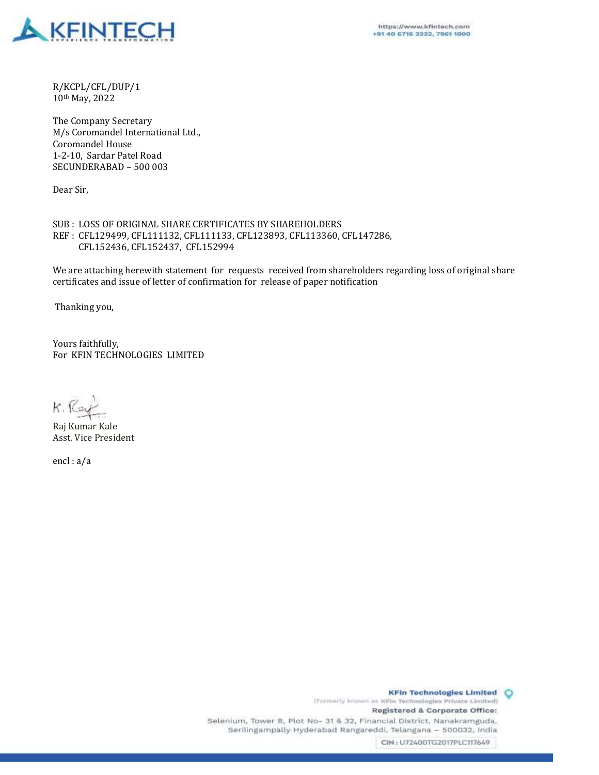

R/KCPL/CFL/DUP/1 10th May, 2022

The Company Secretary M/s Coromandel International Ltd., Coromandel House 1-2-10, Sardar Patel Road SECUNDERABAD – 500 003

Dear Sir,

SUB : LOSS OF ORIGINAL SHARE CERTIFICATES BY SHAREHOLDERS REF : CFL129499, CFL111132, CFL111133, CFL123893, CFL113360, CFL147286, CFL152436, CFL152437, CFL152994

We are attaching herewith statement for requests received from shareholders regarding loss of original share certificates and issue of letter of confirmation for release of paper notification

Thanking you,

Yours faithfully, For KFIN TECHNOLOGIES LIMITED

K. Ray

Raj Kumar Kale Asst. Vice President

encl : a/a

**KFin Technologies Limited O** (Formerly known as KFin Technologies Private Limited) Registered & Corporate Office: Selenium, Tower B, Plot No- 31 & 32, Financial District, Nanakramguda, Serilingampally Hyderabad Rangareddi, Telangana - 500032, India CIN: U72400TG2017PLC117649